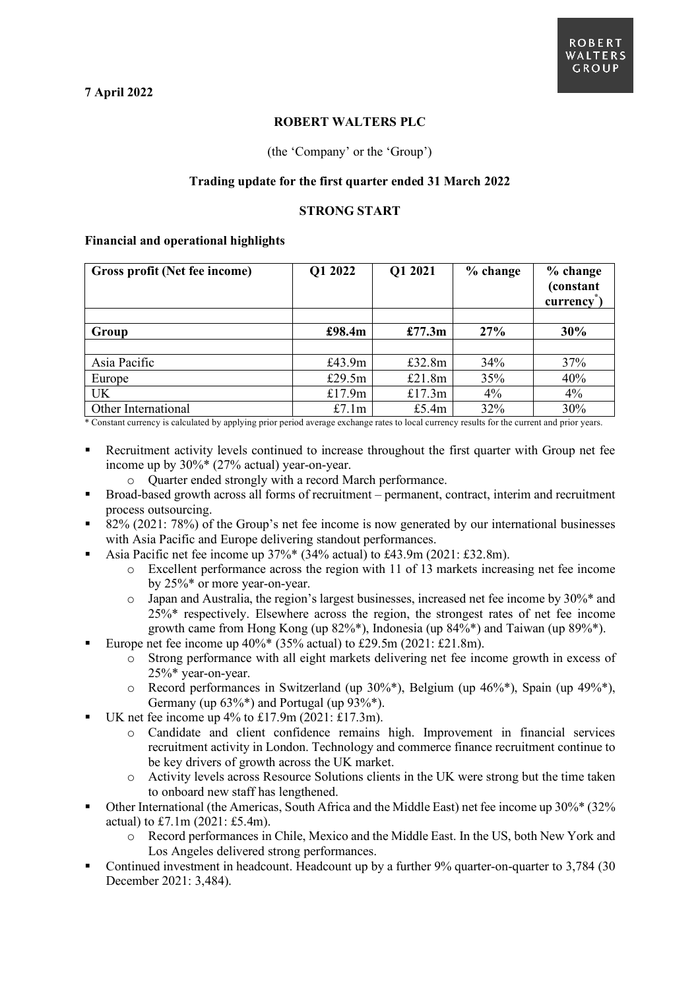# **ROBERT WALTERS PLC**

## (the 'Company' or the 'Group')

## **Trading update for the first quarter ended 31 March 2022**

## **STRONG START**

### **Financial and operational highlights**

| Gross profit (Net fee income) | Q1 2022   | Q1 2021   | $%$ change | % change<br>(constant<br>currency |
|-------------------------------|-----------|-----------|------------|-----------------------------------|
|                               |           |           |            |                                   |
| Group                         | £98.4m    | £77.3m    | 27%        | 30%                               |
|                               |           |           |            |                                   |
| Asia Pacific                  | £43.9m    | £32.8 $m$ | 34%        | 37%                               |
| Europe                        | £29.5 $m$ | £21.8m    | 35%        | 40%                               |
| UK                            | £17.9 $m$ | £17.3m    | 4%         | 4%                                |
| Other International           | £7.1 $m$  | £5.4 $m$  | 32%        | 30%                               |

\* Constant currency is calculated by applying prior period average exchange rates to local currency results for the current and prior years.

- Recruitment activity levels continued to increase throughout the first quarter with Group net fee income up by 30%\* (27% actual) year-on-year.
	- o Quarter ended strongly with a record March performance.
- Broad-based growth across all forms of recruitment permanent, contract, interim and recruitment process outsourcing.
- 82% (2021: 78%) of the Group's net fee income is now generated by our international businesses with Asia Pacific and Europe delivering standout performances.
- Asia Pacific net fee income up 37%\* (34% actual) to £43.9m (2021: £32.8m).
	- o Excellent performance across the region with 11 of 13 markets increasing net fee income by 25%\* or more year-on-year.
	- o Japan and Australia, the region's largest businesses, increased net fee income by 30%\* and 25%\* respectively. Elsewhere across the region, the strongest rates of net fee income growth came from Hong Kong (up 82%\*), Indonesia (up 84%\*) and Taiwan (up 89%\*).
- Europe net fee income up  $40\%$ <sup>\*</sup> (35% actual) to £29.5m (2021: £21.8m).
	- o Strong performance with all eight markets delivering net fee income growth in excess of 25%\* year-on-year.
	- $\circ$  Record performances in Switzerland (up 30%\*), Belgium (up 46%\*), Spain (up 49%\*), Germany (up  $63\%$ \*) and Portugal (up  $93\%$ \*).
- UK net fee income up 4% to £17.9m (2021: £17.3m).
	- o Candidate and client confidence remains high. Improvement in financial services recruitment activity in London. Technology and commerce finance recruitment continue to be key drivers of growth across the UK market.
	- o Activity levels across Resource Solutions clients in the UK were strong but the time taken to onboard new staff has lengthened.
- Other International (the Americas, South Africa and the Middle East) net fee income up 30%\* (32% actual) to £7.1m (2021: £5.4m).
	- o Record performances in Chile, Mexico and the Middle East. In the US, both New York and Los Angeles delivered strong performances.
- Continued investment in headcount. Headcount up by a further 9% quarter-on-quarter to 3,784 (30 December 2021: 3,484).